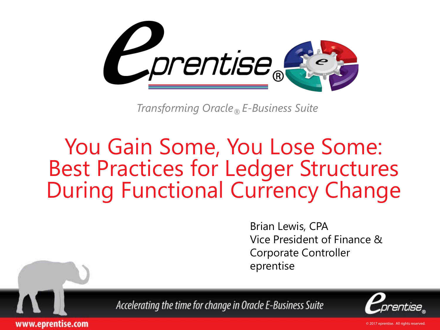

*Transforming Oracle® E-Business Suite*

#### You Gain Some, You Lose Some: Best Practices for Ledger Structures During Functional Currency Change

Brian Lewis, CPA Vice President of Finance & Corporate Controller eprentise



Accelerating the time for change in Oracle E-Business Suite

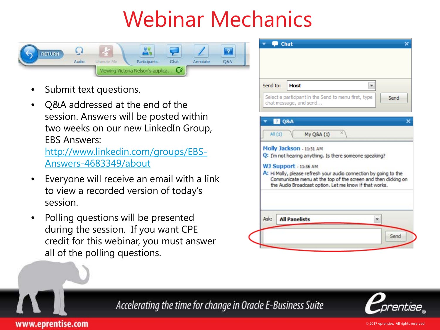# Webinar Mechanics



Submit text questions.

www.eprentise.com

• Q&A addressed at the end of the session. Answers will be posted within two weeks on our new LinkedIn Group, EBS Answers: [http://www.linkedin.com/groups/EBS-](http://www.linkedin.com/groups/EBS-Answers-4683349/about)

[Answers-4683349/about](http://www.linkedin.com/groups/EBS-Answers-4683349/about)

- Everyone will receive an email with a link to view a recorded version of today's session.
- Polling questions will be presented during the session. If you want CPE credit for this webinar, you must answer all of the polling questions.





Accelerating the time for change in Oracle E-Business Suite

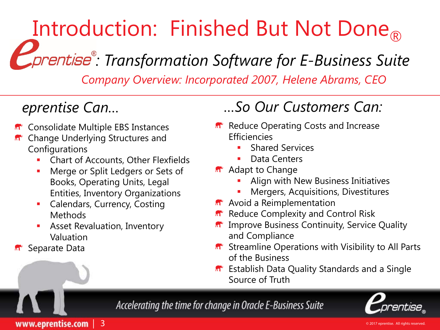# Introduction: Finished But Not Done

*: Transformation Software for E-Business Suite*

*Company Overview: Incorporated 2007, Helene Abrams, CEO*

- **R** Consolidate Multiple EBS Instances
- Change Underlying Structures and Configurations
	- Chart of Accounts, Other Flexfields
	- **Merge or Split Ledgers or Sets of** Books, Operating Units, Legal Entities, Inventory Organizations
	- **Calendars, Currency, Costing** Methods
	- **Asset Revaluation, Inventory** Valuation
- Separate Data

#### *eprentise Can… …So Our Customers Can:*

- **R** Reduce Operating Costs and Increase **Efficiencies** 
	- Shared Services
	- Data Centers
- **A** Adapt to Change
	- Align with New Business Initiatives
	- Mergers, Acquisitions, Divestitures
- **A**<sup>+</sup> Avoid a Reimplementation
- Reduce Complexity and Control Risk
- Improve Business Continuity, Service Quality  $\mathbf{M}^{\bullet}$ and Compliance
- **n**<sup>\*</sup> Streamline Operations with Visibility to All Parts of the Business
- **R** Establish Data Quality Standards and a Single Source of Truth

Accelerating the time for change in Oracle E-Business Suite



www.eprentise.com | 3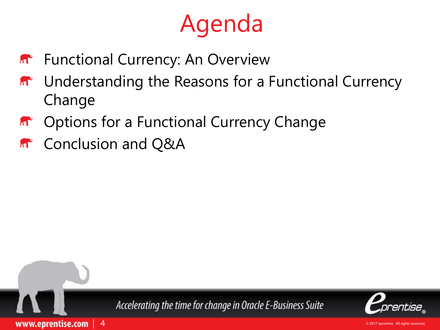# Agenda

- **M** Functional Currency: An Overview
- Understanding the Reasons for a Functional Currency  $\mathbf{M}^{\bullet}$ Change
- Options for a Functional Currency Change  $\mathbf{M}^{\bullet}$
- **R**<sup>2</sup> Conclusion and Q&A

 $\overline{4}$ 

www.eprentise.com



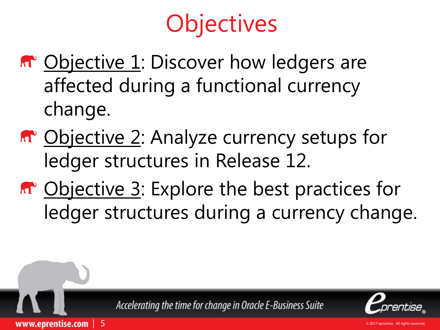# **Objectives**

- **M** Objective 1: Discover how ledgers are affected during a functional currency change.
- **M** Objective 2: Analyze currency setups for ledger structures in Release 12.
- **M** Objective 3: Explore the best practices for ledger structures during a currency change.



| 5

www.eprentise.com

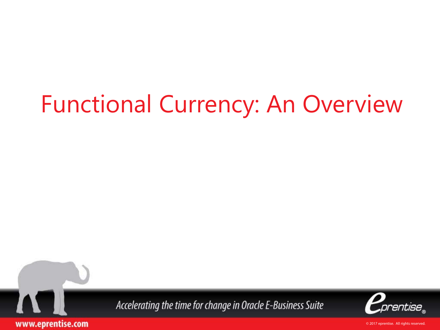# Functional Currency: An Overview



www.eprentise.com

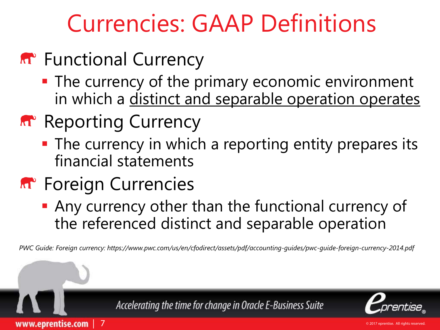# Currencies: GAAP Definitions

- **A**<sup>•</sup> Functional Currency
	- **The currency of the primary economic environment** in which a distinct and separable operation operates
- **Reporting Currency** 
	- **The currency in which a reporting entity prepares its** financial statements
- **R**<sup>+</sup> Foreign Currencies

| 7

www.eprentise.com

 Any currency other than the functional currency of the referenced distinct and separable operation

*PWC Guide: Foreign currency: https://www.pwc.com/us/en/cfodirect/assets/pdf/accounting-guides/pwc-guide-foreign-currency-2014.pdf* 



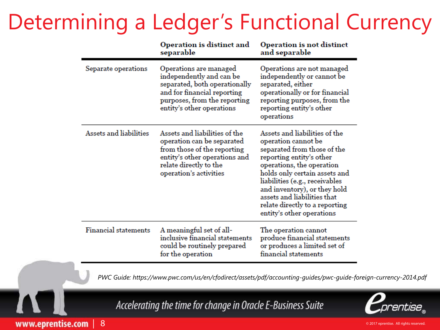#### Determining a Ledger's Functional Currency

|                             | Operation is distinct and<br>separable                                                                                                                                          | Operation is not distinct<br>and separable                                                                                                                                                                                                                                                                                                    |
|-----------------------------|---------------------------------------------------------------------------------------------------------------------------------------------------------------------------------|-----------------------------------------------------------------------------------------------------------------------------------------------------------------------------------------------------------------------------------------------------------------------------------------------------------------------------------------------|
| Separate operations         | Operations are managed<br>independently and can be<br>separated, both operationally<br>and for financial reporting<br>purposes, from the reporting<br>entity's other operations | Operations are not managed<br>independently or cannot be<br>separated, either<br>operationally or for financial<br>reporting purposes, from the<br>reporting entity's other<br>operations                                                                                                                                                     |
| Assets and liabilities      | Assets and liabilities of the<br>operation can be separated<br>from those of the reporting<br>entity's other operations and<br>relate directly to the<br>operation's activities | Assets and liabilities of the<br>operation cannot be<br>separated from those of the<br>reporting entity's other<br>operations, the operation<br>holds only certain assets and<br>liabilities (e.g., receivables<br>and inventory), or they hold<br>assets and liabilities that<br>relate directly to a reporting<br>entity's other operations |
| <b>Financial statements</b> | A meaningful set of all-<br>inclusive financial statements<br>could be routinely prepared<br>for the operation                                                                  | The operation cannot<br>produce financial statements<br>or produces a limited set of<br>financial statements                                                                                                                                                                                                                                  |

*PWC Guide: https://www.pwc.com/us/en/cfodirect/assets/pdf/accounting-guides/pwc-guide-foreign-currency-2014.pdf* 

Accelerating the time for change in Oracle E-Business Suite



www.eprentise.com | 8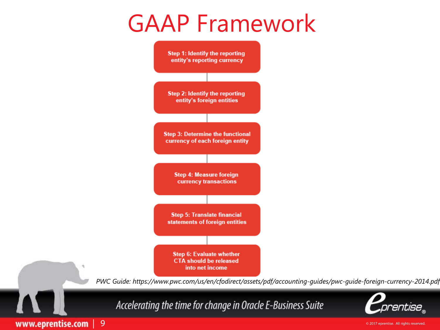#### GAAP Framework



www.eprentise.com | 9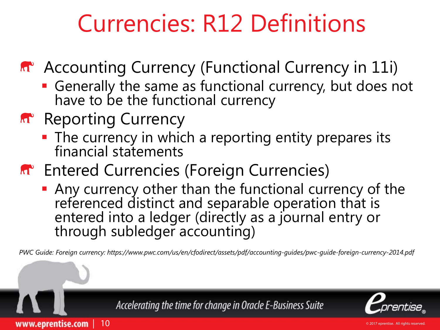# Currencies: R12 Definitions

A<sup>c</sup> Accounting Currency (Functional Currency in 11i)

- Generally the same as functional currency, but does not have to be the functional currency
- **Reporting Currency**

| 10

www.eprentise.com

- The currency in which a reporting entity prepares its financial statements
- **M** Entered Currencies (Foreign Currencies)
	- Any currency other than the functional currency of the referenced distinct and separable operation that is entered into a ledger (directly as a journal entry or through subledger accounting)

*PWC Guide: Foreign currency: https://www.pwc.com/us/en/cfodirect/assets/pdf/accounting-guides/pwc-guide-foreign-currency-2014.pdf* 

Accelerating the time for change in Oracle E-Business Suite

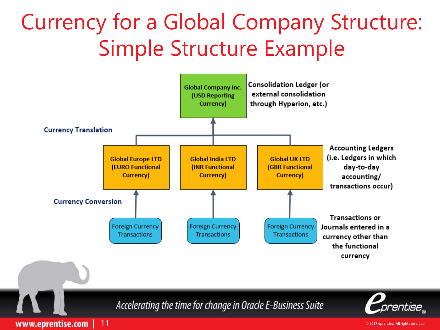#### Currency for a Global Company Structure: Simple Structure Example

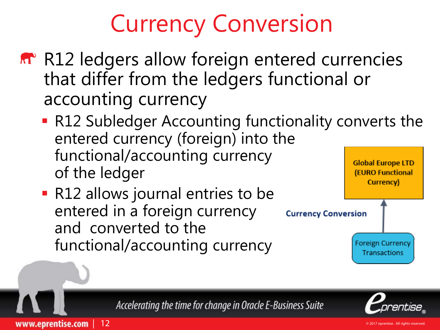# Currency Conversion

- **R12** ledgers allow foreign entered currencies that differ from the ledgers functional or accounting currency
	- **R12 Subledger Accounting functionality converts the** entered currency (foreign) into the functional/accounting currency **Global Europe LTD** of the ledger **(EURO Functional**
	- R12 allows journal entries to be entered in a foreign currency and converted to the functional/accounting currency

| 12

www.eprentise.com



Accelerating the time for change in Oracle E-Business Suite

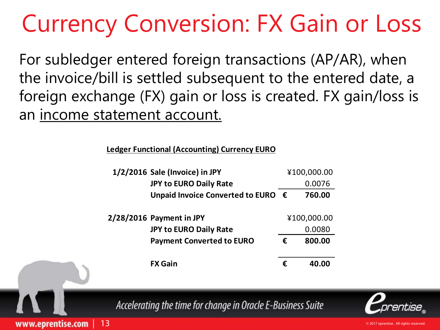# Currency Conversion: FX Gain or Loss

For subledger entered foreign transactions (AP/AR), when the invoice/bill is settled subsequent to the entered date, a foreign exchange (FX) gain or loss is created. FX gain/loss is an income statement account.

**Ledger Functional (Accounting) Currency EURO**

| 1/2/2016 Sale (Invoice) in JPY              |             | ¥100,000.00 |  |  |
|---------------------------------------------|-------------|-------------|--|--|
| <b>JPY to EURO Daily Rate</b>               |             | 0.0076      |  |  |
| Unpaid Invoice Converted to EURO $\epsilon$ |             | 760.00      |  |  |
| $2/28/2016$ Payment in JPY                  | ¥100,000.00 |             |  |  |
| <b>JPY to EURO Daily Rate</b>               |             | 0.0080      |  |  |
| <b>Payment Converted to EURO</b>            | €           | 800.00      |  |  |
| <b>FX Gain</b>                              | €           | 40.00       |  |  |



| 13

www.eprentise.com

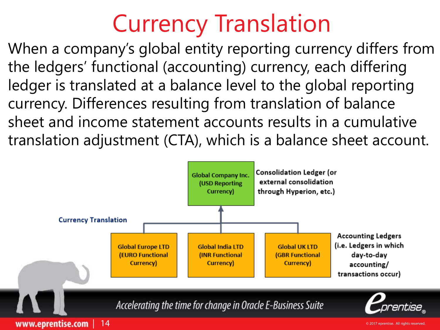# Currency Translation

When a company's global entity reporting currency differs from the ledgers' functional (accounting) currency, each differing ledger is translated at a balance level to the global reporting currency. Differences resulting from translation of balance sheet and income statement accounts results in a cumulative translation adjustment (CTA), which is a balance sheet account.

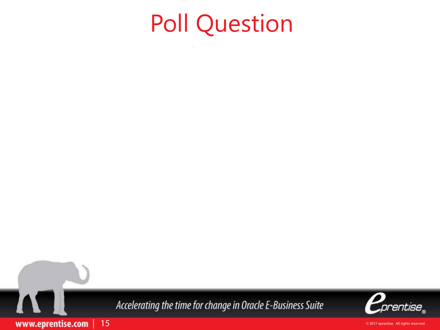# Poll Question

Accelerating the time for change in Oracle E-Business Suite

| 15

www.eprentise.com

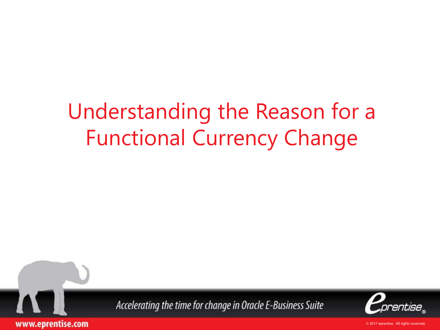#### Understanding the Reason for a Functional Currency Change



Accelerating the time for change in Oracle E-Business Suite

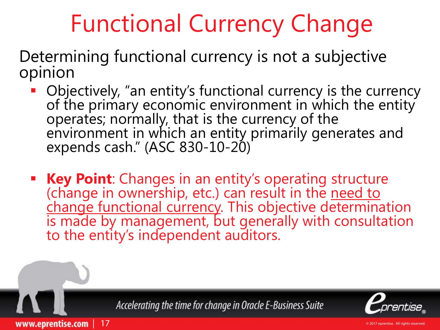# Functional Currency Change

Determining functional currency is not a subjective opinion

- Objectively, "an entity's functional currency is the currency of the primary economic environment in which the entity operates; normally, that is the currency of the environment in which an entity primarily generates and expends cash." (ASC 830-10-20)
- **Key Point**: Changes in an entity's operating structure (change in ownership, etc.) can result in the <u>need to</u> change functional currency. This objective determination<br>is made by management, but generally with consultation to the entity's independent auditors.

Accelerating the time for change in Oracle E-Business Suite

| 17

www.eprentise.com

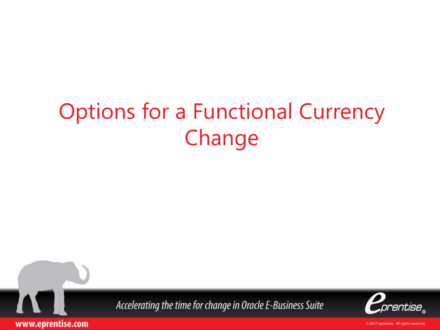## Options for a Functional Currency Change



Accelerating the time for change in Oracle E-Business Suite

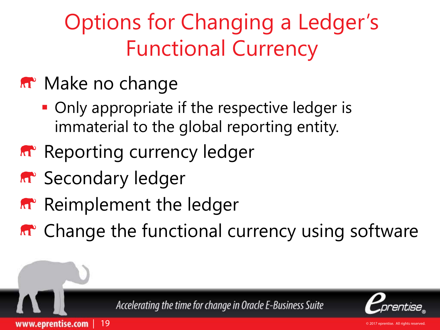## Options for Changing a Ledger's Functional Currency

#### **M** Make no change

- Only appropriate if the respective ledger is immaterial to the global reporting entity.
- **Reporting currency ledger**
- **M** Secondary ledger

| 19

www.eprentise.com

- **R** Reimplement the ledger
- **A**<sup> $\bullet$ </sup> Change the functional currency using software

Accelerating the time for change in Oracle E-Business Suite

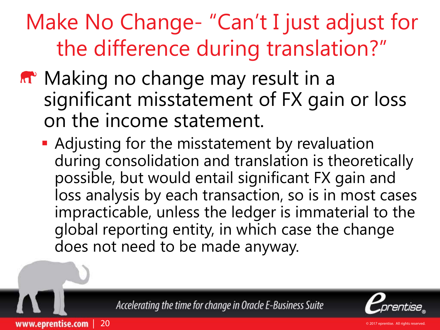## Make No Change- "Can't I just adjust for the difference during translation?"

- **M** Making no change may result in a significant misstatement of FX gain or loss on the income statement.
	- **Adjusting for the misstatement by revaluation** during consolidation and translation is theoretically possible, but would entail significant FX gain and loss analysis by each transaction, so is in most cases impracticable, unless the ledger is immaterial to the global reporting entity, in which case the change does not need to be made anyway.

Accelerating the time for change in Oracle E-Business Suite

| 20

www.eprentise.com

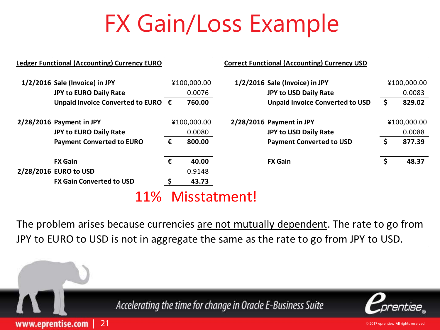# FX Gain/Loss Example

|                          | <b>Ledger Functional (Accounting) Currency EURO</b> |             |             |                          | <b>Correct Functional (Accounting) Currency USD</b> |             |             |
|--------------------------|-----------------------------------------------------|-------------|-------------|--------------------------|-----------------------------------------------------|-------------|-------------|
|                          | 1/2/2016 Sale (Invoice) in JPY                      |             | ¥100,000.00 |                          | 1/2/2016 Sale (Invoice) in JPY                      |             | ¥100,000.00 |
|                          | <b>JPY to EURO Daily Rate</b>                       |             | 0.0076      |                          | JPY to USD Daily Rate                               |             | 0.0083      |
|                          | Unpaid Invoice Converted to EURO €                  |             | 760.00      |                          | <b>Unpaid Invoice Converted to USD</b>              | Ş.          | 829.02      |
| 2/28/2016 Payment in JPY |                                                     | ¥100,000.00 |             | 2/28/2016 Payment in JPY |                                                     | ¥100,000.00 |             |
|                          | <b>JPY to EURO Daily Rate</b>                       |             | 0.0080      | JPY to USD Daily Rate    | 0.0088                                              |             |             |
|                          | <b>Payment Converted to EURO</b>                    | €           | 800.00      |                          | <b>Payment Converted to USD</b>                     | \$          | 877.39      |
|                          | <b>FX Gain</b>                                      | €           | 40.00       |                          | <b>FX Gain</b>                                      |             | 48.37       |
|                          | 2/28/2016 EURO to USD                               |             | 0.9148      |                          |                                                     |             |             |
|                          | <b>FX Gain Converted to USD</b>                     |             | 43.73       |                          |                                                     |             |             |
|                          | 1104                                                |             |             | Micctotmont              |                                                     |             |             |

11% Misstatment!

| 21

www.eprentise.com

The problem arises because currencies are not mutually dependent. The rate to go from JPY to EURO to USD is not in aggregate the same as the rate to go from JPY to USD.

Accelerating the time for change in Oracle E-Business Suite

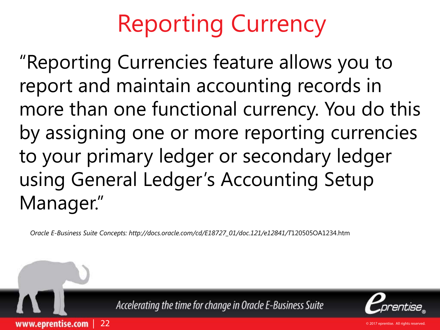# Reporting Currency

"Reporting Currencies feature allows you to report and maintain accounting records in more than one functional currency. You do this by assigning one or more reporting currencies to your primary ledger or secondary ledger using General Ledger's Accounting Setup Manager."

*Oracle E-Business Suite Concepts: http://docs.oracle.com/cd/E18727\_01/doc.121/e12841/T*120505OA1234.htm

| 22

www.eprentise.com

Accelerating the time for change in Oracle E-Business Suite

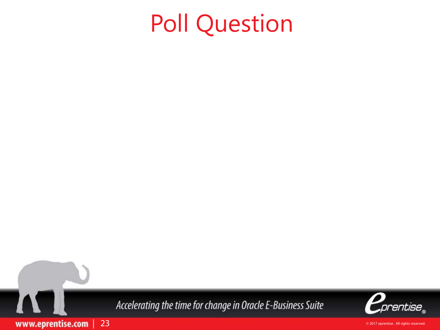# Poll Question

Accelerating the time for change in Oracle E-Business Suite

| 23

www.eprentise.com

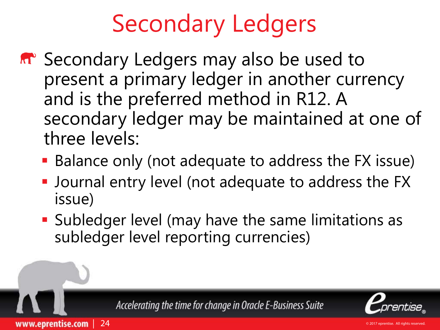# Secondary Ledgers

- **M** Secondary Ledgers may also be used to present a primary ledger in another currency and is the preferred method in R12. A secondary ledger may be maintained at one of three levels:
	- Balance only (not adequate to address the FX issue)
	- **-** Journal entry level (not adequate to address the FX issue)
	- **Subledger level (may have the same limitations as** subledger level reporting currencies)

| 24

www.eprentise.com

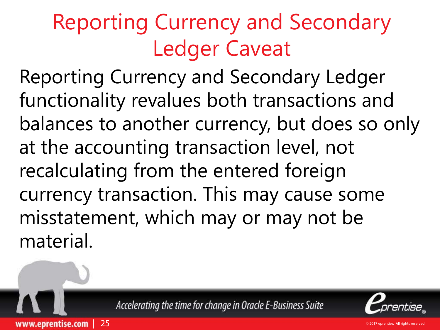# Reporting Currency and Secondary Ledger Caveat

Reporting Currency and Secondary Ledger functionality revalues both transactions and balances to another currency, but does so only at the accounting transaction level, not recalculating from the entered foreign currency transaction. This may cause some misstatement, which may or may not be material.



| 25

www.eprentise.com

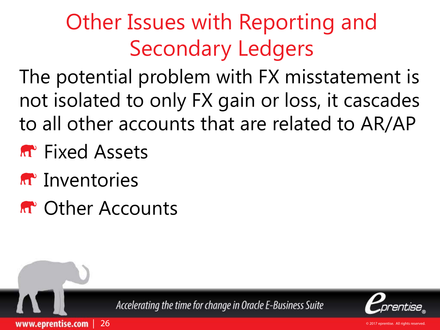# Other Issues with Reporting and Secondary Ledgers

The potential problem with FX misstatement is not isolated to only FX gain or loss, it cascades to all other accounts that are related to AR/AP

- **R** Fixed Assets
- **A**<sup>t</sup> Inventories
- **R**<sup> $\circ$ </sup> Other Accounts

| 26

www.eprentise.com

Accelerating the time for change in Oracle E-Business Suite

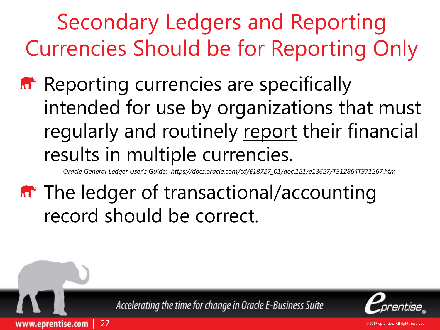Secondary Ledgers and Reporting Currencies Should be for Reporting Only

**Reporting currencies are specifically** intended for use by organizations that must regularly and routinely report their financial results in multiple currencies.

*Oracle General Ledger User's Guide: https://docs.oracle.com/cd/E18727\_01/doc.121/e13627/T312864T371267.htm*

**M** The ledger of transactional/accounting record should be correct.

Accelerating the time for change in Oracle E-Business Suite

| 27

www.eprentise.com

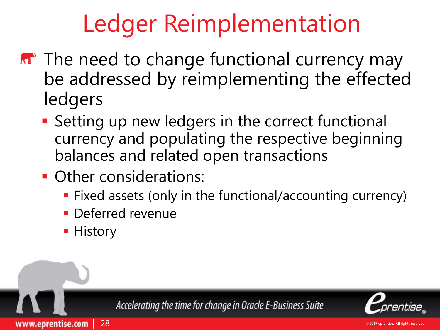# Ledger Reimplementation

- **M**<sup>•</sup> The need to change functional currency may be addressed by reimplementing the effected ledgers
	- **Setting up new ledgers in the correct functional** currency and populating the respective beginning balances and related open transactions
	- **Other considerations:** 
		- **Fixed assets (only in the functional/accounting currency)**
		- **Deferred revenue**
		- **History**

| 28

www.eprentise.com

Accelerating the time for change in Oracle E-Business Suite

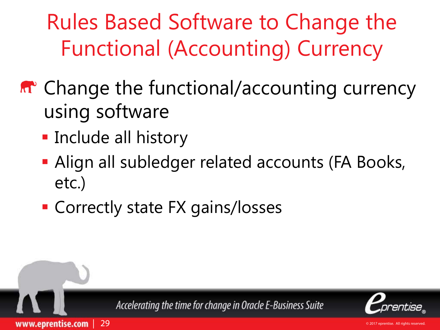Rules Based Software to Change the Functional (Accounting) Currency

- **M** Change the functional/accounting currency using software
	- **Include all history**

| 29

www.eprentise.com

- **Align all subledger related accounts (FA Books,** etc.)
- **Correctly state FX gains/losses**

Accelerating the time for change in Oracle E-Business Suite

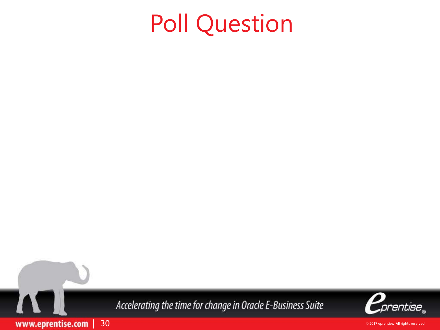# Poll Question

Accelerating the time for change in Oracle E-Business Suite

| 30

www.eprentise.com

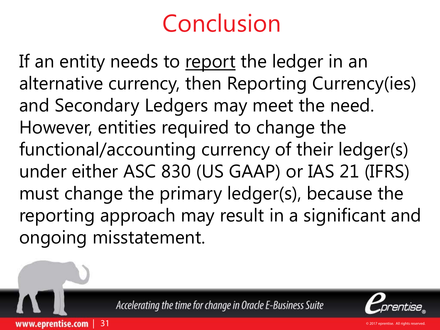# Conclusion

If an entity needs to report the ledger in an alternative currency, then Reporting Currency(ies) and Secondary Ledgers may meet the need. However, entities required to change the functional/accounting currency of their ledger(s) under either ASC 830 (US GAAP) or IAS 21 (IFRS) must change the primary ledger(s), because the reporting approach may result in a significant and ongoing misstatement.

Accelerating the time for change in Oracle E-Business Suite

| 31

www.eprentise.com

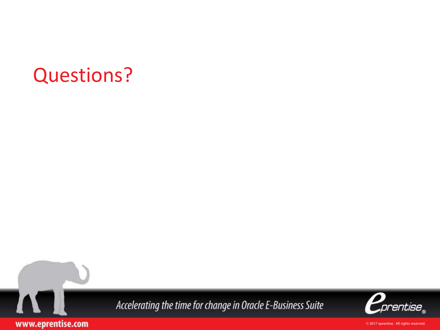#### Questions?

I

www.eprentise.com